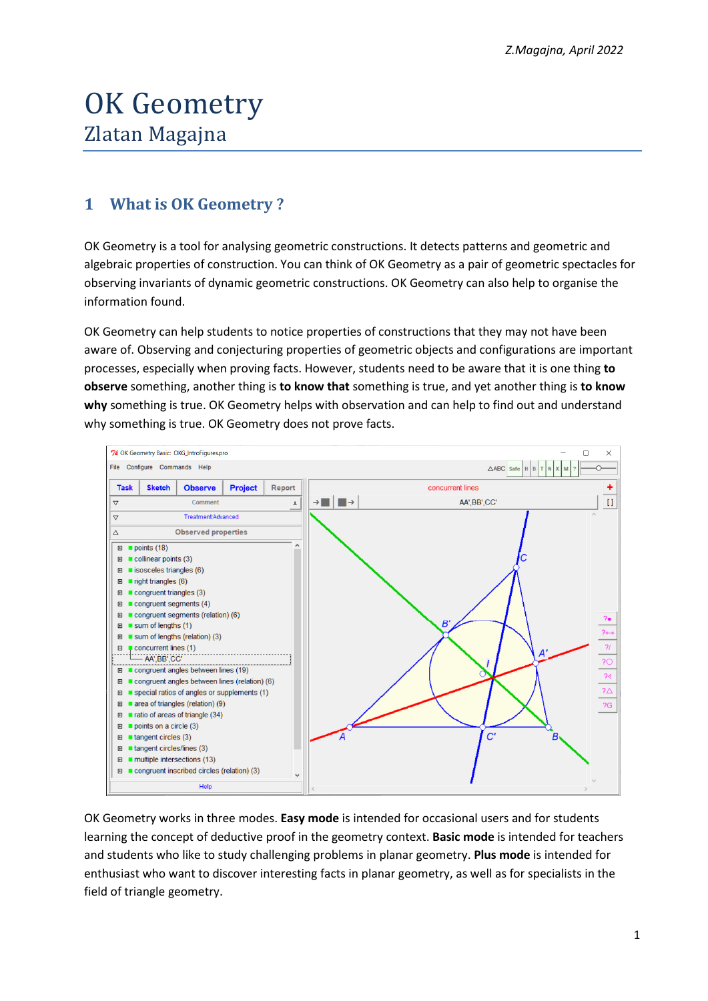# OK Geometry Zlatan Magajna

## **1 What is OK Geometry ?**

OK Geometry is a tool for analysing geometric constructions. It detects patterns and geometric and algebraic properties of construction. You can think of OK Geometry as a pair of geometric spectacles for observing invariants of dynamic geometric constructions. OK Geometry can also help to organise the information found.

OK Geometry can help students to notice properties of constructions that they may not have been aware of. Observing and conjecturing properties of geometric objects and configurations are important processes, especially when proving facts. However, students need to be aware that it is one thing **to observe** something, another thing is **to know that** something is true, and yet another thing is **to know why** something is true. OK Geometry helps with observation and can help to find out and understand why something is true. OK Geometry does not prove facts.



OK Geometry works in three modes. **Easy mode** is intended for occasional users and for students learning the concept of deductive proof in the geometry context. **Basic mode** is intended for teachers and students who like to study challenging problems in planar geometry. **Plus mode** is intended for enthusiast who want to discover interesting facts in planar geometry, as well as for specialists in the field of triangle geometry.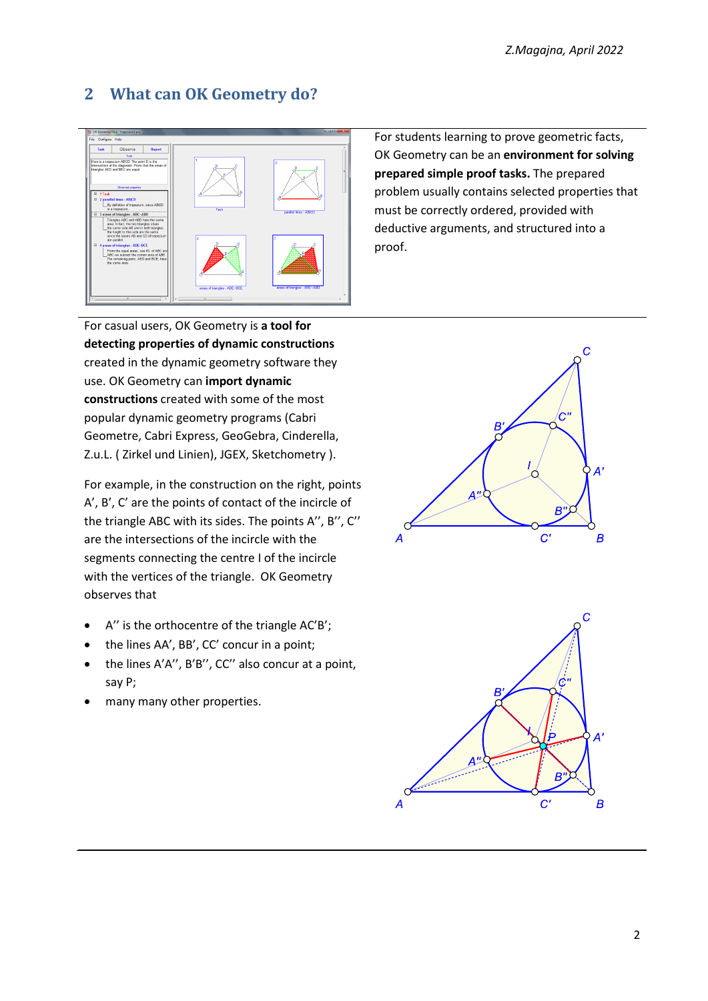# **2 What can OK Geometry do?**



For students learning to prove geometric facts, OK Geometry can be an **environment for solving prepared simple proof tasks.** The prepared problem usually contains selected properties that must be correctly ordered, provided with deductive arguments, and structured into a proof.

For casual users, OK Geometry is **a tool for detecting properties of dynamic constructions**  created in the dynamic geometry software they use. OK Geometry can **import dynamic constructions** created with some of the most popular dynamic geometry programs (Cabri Geometre, Cabri Express, GeoGebra, Cinderella, Z.u.L. ( Zirkel und Linien), JGEX, Sketchometry ).

For example, in the construction on the right, points A', B', C' are the points of contact of the incircle of the triangle ABC with its sides. The points A'', B'', C'' are the intersections of the incircle with the segments connecting the centre I of the incircle with the vertices of the triangle. OK Geometry observes that

- A'' is the orthocentre of the triangle AC'B';
- the lines AA', BB', CC' concur in a point;
- the lines A'A'', B'B'', CC'' also concur at a point, say P;
- many many other properties.



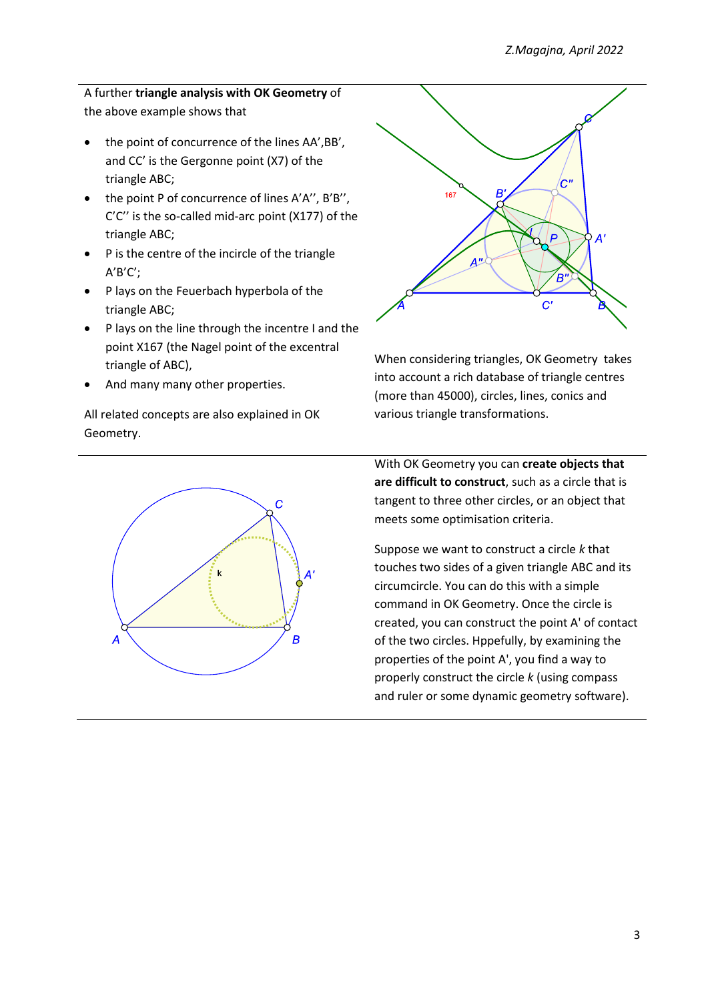#### A further **triangle analysis with OK Geometry** of the above example shows that

- the point of concurrence of the lines AA',BB', and CC' is the Gergonne point (X7) of the triangle ABC;
- the point P of concurrence of lines A'A", B'B", C'C'' is the so-called mid-arc point (X177) of the triangle ABC;
- P is the centre of the incircle of the triangle A'B'C';
- P lays on the Feuerbach hyperbola of the triangle ABC;
- P lays on the line through the incentre I and the point X167 (the Nagel point of the excentral triangle of ABC),
- And many many other properties.

All related concepts are also explained in OK Geometry.





When considering triangles, OK Geometry takes into account a rich database of triangle centres (more than 45000), circles, lines, conics and various triangle transformations.

With OK Geometry you can **create objects that are difficult to construct**, such as a circle that is tangent to three other circles, or an object that meets some optimisation criteria.

Suppose we want to construct a circle *k* that touches two sides of a given triangle ABC and its circumcircle. You can do this with a simple command in OK Geometry. Once the circle is created, you can construct the point A' of contact of the two circles. Hppefully, by examining the properties of the point A', you find a way to properly construct the circle *k* (using compass and ruler or some dynamic geometry software).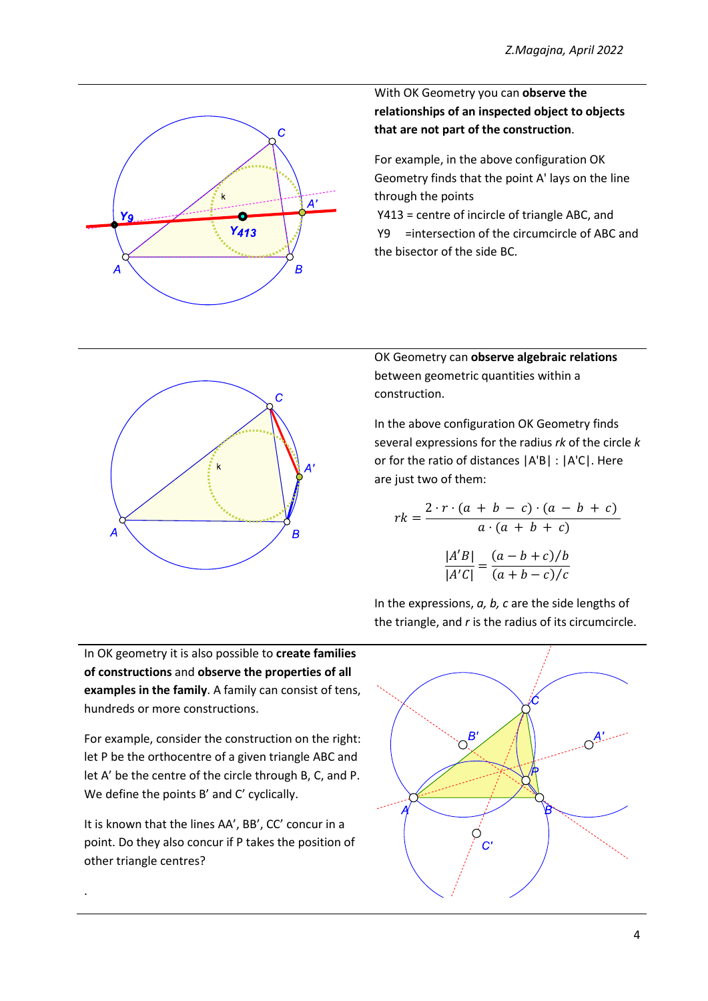

With OK Geometry you can **observe the relationships of an inspected object to objects that are not part of the construction**.

For example, in the above configuration OK Geometry finds that the point A' lays on the line through the points

 Y413 = centre of incircle of triangle ABC, and Y9 =intersection of the circumcircle of ABC and the bisector of the side BC.



OK Geometry can **observe algebraic relations** between geometric quantities within a construction.

In the above configuration OK Geometry finds several expressions for the radius *rk* of the circle *k* or for the ratio of distances |A'B| : |A'C|. Here are just two of them:

$$
rk = \frac{2 \cdot r \cdot (a + b - c) \cdot (a - b + c)}{a \cdot (a + b + c)}
$$

$$
\frac{|A'B|}{|A'C|} = \frac{(a - b + c)/b}{(a + b - c)/c}
$$

In the expressions, *a, b, c* are the side lengths of the triangle, and *r* is the radius of its circumcircle.

In OK geometry it is also possible to **create families of constructions** and **observe the properties of all examples in the family**. A family can consist of tens, hundreds or more constructions.

For example, consider the construction on the right: let P be the orthocentre of a given triangle ABC and let A' be the centre of the circle through B, C, and P. We define the points B' and C' cyclically.

It is known that the lines AA', BB', CC' concur in a point. Do they also concur if P takes the position of other triangle centres?

.

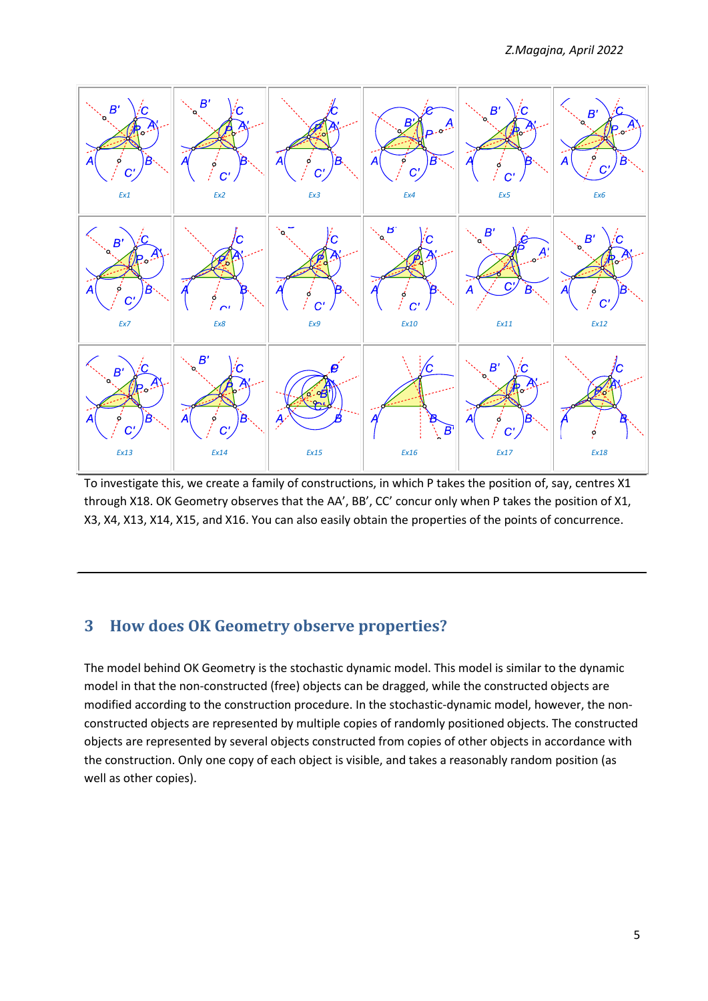

To investigate this, we create a family of constructions, in which P takes the position of, say, centres X1 through X18. OK Geometry observes that the AA', BB', CC' concur only when P takes the position of X1, X3, X4, X13, X14, X15, and X16. You can also easily obtain the properties of the points of concurrence.

### **3 How does OK Geometry observe properties?**

The model behind OK Geometry is the stochastic dynamic model. This model is similar to the dynamic model in that the non-constructed (free) objects can be dragged, while the constructed objects are modified according to the construction procedure. In the stochastic-dynamic model, however, the nonconstructed objects are represented by multiple copies of randomly positioned objects. The constructed objects are represented by several objects constructed from copies of other objects in accordance with the construction. Only one copy of each object is visible, and takes a reasonably random position (as well as other copies).